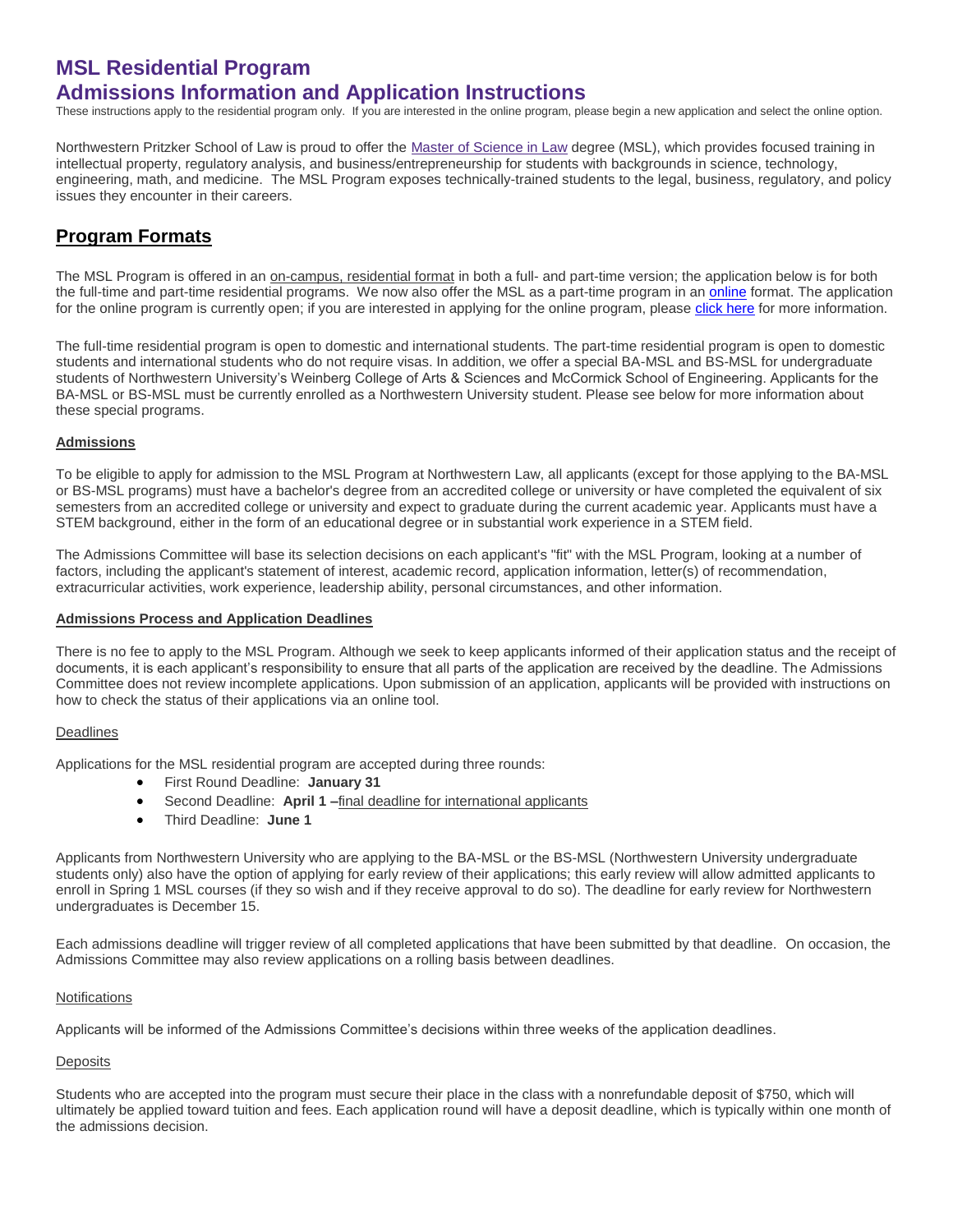# **MSL Residential Program Admissions Information and Application Instructions**

These instructions apply to the residential program only. If you are interested in the online program, please begin a new application and select the online option.

Northwestern Pritzker School of Law is proud to offer the [Master of Science in Law](http://www.law.northwestern.edu/academics/degree-programs/msl/) degree (MSL), which provides focused training in intellectual property, regulatory analysis, and business/entrepreneurship for students with backgrounds in science, technology, engineering, math, and medicine. The MSL Program exposes technically-trained students to the legal, business, regulatory, and policy issues they encounter in their careers.

# **Program Formats**

The MSL Program is offered in an on-campus, residential format in both a full- and part-time version; the application below is for both the full-time and part-time residential programs. We now also offer the MSL as a part-time program in a[n online](http://www.law.northwestern.edu/academics/degree-programs/msl/program/online/) format. The application for the online program is currently open; if you are interested in applying for the online program, pleas[e click here](http://www.law.northwestern.edu/academics/degree-programs/msl/program/online/) for more information.

The full-time residential program is open to domestic and international students. The part-time residential program is open to domestic students and international students who do not require visas. In addition, we offer a special BA-MSL and BS-MSL for undergraduate students of Northwestern University's Weinberg College of Arts & Sciences and McCormick School of Engineering. Applicants for the BA-MSL or BS-MSL must be currently enrolled as a Northwestern University student. Please see below for more information about these special programs.

## **Admissions**

To be eligible to apply for admission to the MSL Program at Northwestern Law, all applicants (except for those applying to the BA-MSL or BS-MSL programs) must have a bachelor's degree from an accredited college or university or have completed the equivalent of six semesters from an accredited college or university and expect to graduate during the current academic year. Applicants must have a STEM background, either in the form of an educational degree or in substantial work experience in a STEM field.

The Admissions Committee will base its selection decisions on each applicant's "fit" with the MSL Program, looking at a number of factors, including the applicant's statement of interest, academic record, application information, letter(s) of recommendation, extracurricular activities, work experience, leadership ability, personal circumstances, and other information.

### **Admissions Process and Application Deadlines**

There is no fee to apply to the MSL Program. Although we seek to keep applicants informed of their application status and the receipt of documents, it is each applicant's responsibility to ensure that all parts of the application are received by the deadline. The Admissions Committee does not review incomplete applications. Upon submission of an application, applicants will be provided with instructions on how to check the status of their applications via an online tool.

### Deadlines

Applications for the MSL residential program are accepted during three rounds:

- First Round Deadline: **January 31**
- Second Deadline: **April 1 –**final deadline for international applicants
- Third Deadline: **June 1**

Applicants from Northwestern University who are applying to the BA-MSL or the BS-MSL (Northwestern University undergraduate students only) also have the option of applying for early review of their applications; this early review will allow admitted applicants to enroll in Spring 1 MSL courses (if they so wish and if they receive approval to do so). The deadline for early review for Northwestern undergraduates is December 15.

Each admissions deadline will trigger review of all completed applications that have been submitted by that deadline. On occasion, the Admissions Committee may also review applications on a rolling basis between deadlines.

### Notifications

Applicants will be informed of the Admissions Committee's decisions within three weeks of the application deadlines.

# **Deposits**

Students who are accepted into the program must secure their place in the class with a nonrefundable deposit of \$750, which will ultimately be applied toward tuition and fees. Each application round will have a deposit deadline, which is typically within one month of the admissions decision.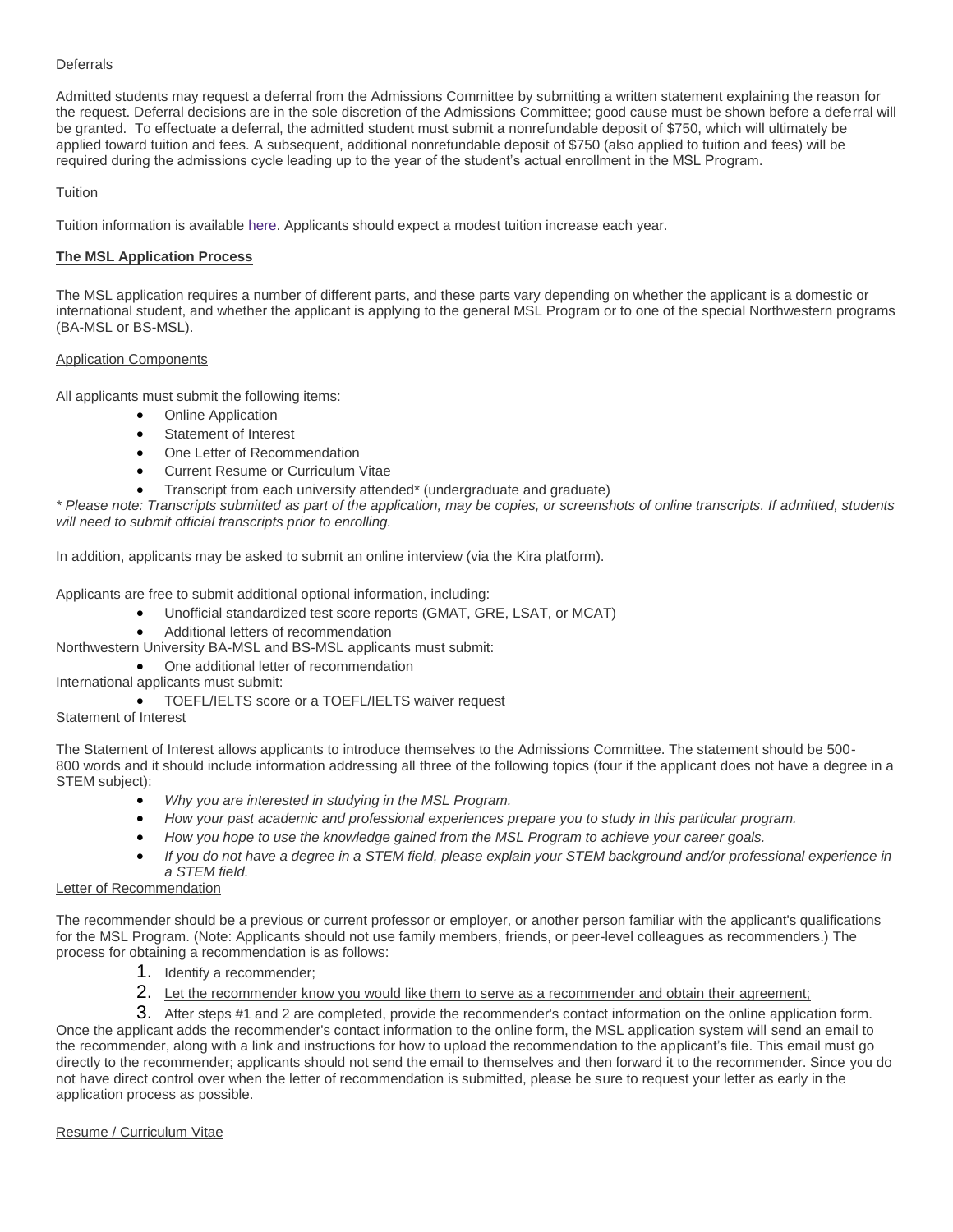## **Deferrals**

Admitted students may request a deferral from the Admissions Committee by submitting a written statement explaining the reason for the request. Deferral decisions are in the sole discretion of the Admissions Committee; good cause must be shown before a deferral will be granted. To effectuate a deferral, the admitted student must submit a nonrefundable deposit of \$750, which will ultimately be applied toward tuition and fees. A subsequent, additional nonrefundable deposit of \$750 (also applied to tuition and fees) will be required during the admissions cycle leading up to the year of the student's actual enrollment in the MSL Program.

## **Tuition**

Tuition information is available [here.](http://www.law.northwestern.edu/admissions/tuitionaid/tuition/) Applicants should expect a modest tuition increase each year.

## **The MSL Application Process**

The MSL application requires a number of different parts, and these parts vary depending on whether the applicant is a domestic or international student, and whether the applicant is applying to the general MSL Program or to one of the special Northwestern programs (BA-MSL or BS-MSL).

### Application Components

All applicants must submit the following items:

- Online Application
- Statement of Interest
- One Letter of Recommendation
- Current Resume or Curriculum Vitae
- Transcript from each university attended\* (undergraduate and graduate)

*\* Please note: Transcripts submitted as part of the application, may be copies, or screenshots of online transcripts. If admitted, students will need to submit official transcripts prior to enrolling.*

In addition, applicants may be asked to submit an online interview (via the Kira platform).

Applicants are free to submit additional optional information, including:

- Unofficial standardized test score reports (GMAT, GRE, LSAT, or MCAT)
- Additional letters of recommendation

Northwestern University BA-MSL and BS-MSL applicants must submit:

- One additional letter of recommendation
- International applicants must submit:
	- **•** TOEFL/IELTS score or a TOEFL/IELTS waiver request

### Statement of Interest

The Statement of Interest allows applicants to introduce themselves to the Admissions Committee. The statement should be 500- 800 words and it should include information addressing all three of the following topics (four if the applicant does not have a degree in a STEM subject):

- *Why you are interested in studying in the MSL Program.*
- *How your past academic and professional experiences prepare you to study in this particular program.*
- *How you hope to use the knowledge gained from the MSL Program to achieve your career goals.*
- *If you do not have a degree in a STEM field, please explain your STEM background and/or professional experience in a STEM field.*

# Letter of Recommendation

The recommender should be a previous or current professor or employer, or another person familiar with the applicant's qualifications for the MSL Program. (Note: Applicants should not use family members, friends, or peer-level colleagues as recommenders.) The process for obtaining a recommendation is as follows:

- 1. Identify a recommender;
- 2. Let the recommender know you would like them to serve as a recommender and obtain their agreement;

3. After steps #1 and 2 are completed, provide the recommender's contact information on the online application form. Once the applicant adds the recommender's contact information to the online form, the MSL application system will send an email to the recommender, along with a link and instructions for how to upload the recommendation to the applicant's file. This email must go directly to the recommender; applicants should not send the email to themselves and then forward it to the recommender. Since you do not have direct control over when the letter of recommendation is submitted, please be sure to request your letter as early in the application process as possible.

### Resume / Curriculum Vitae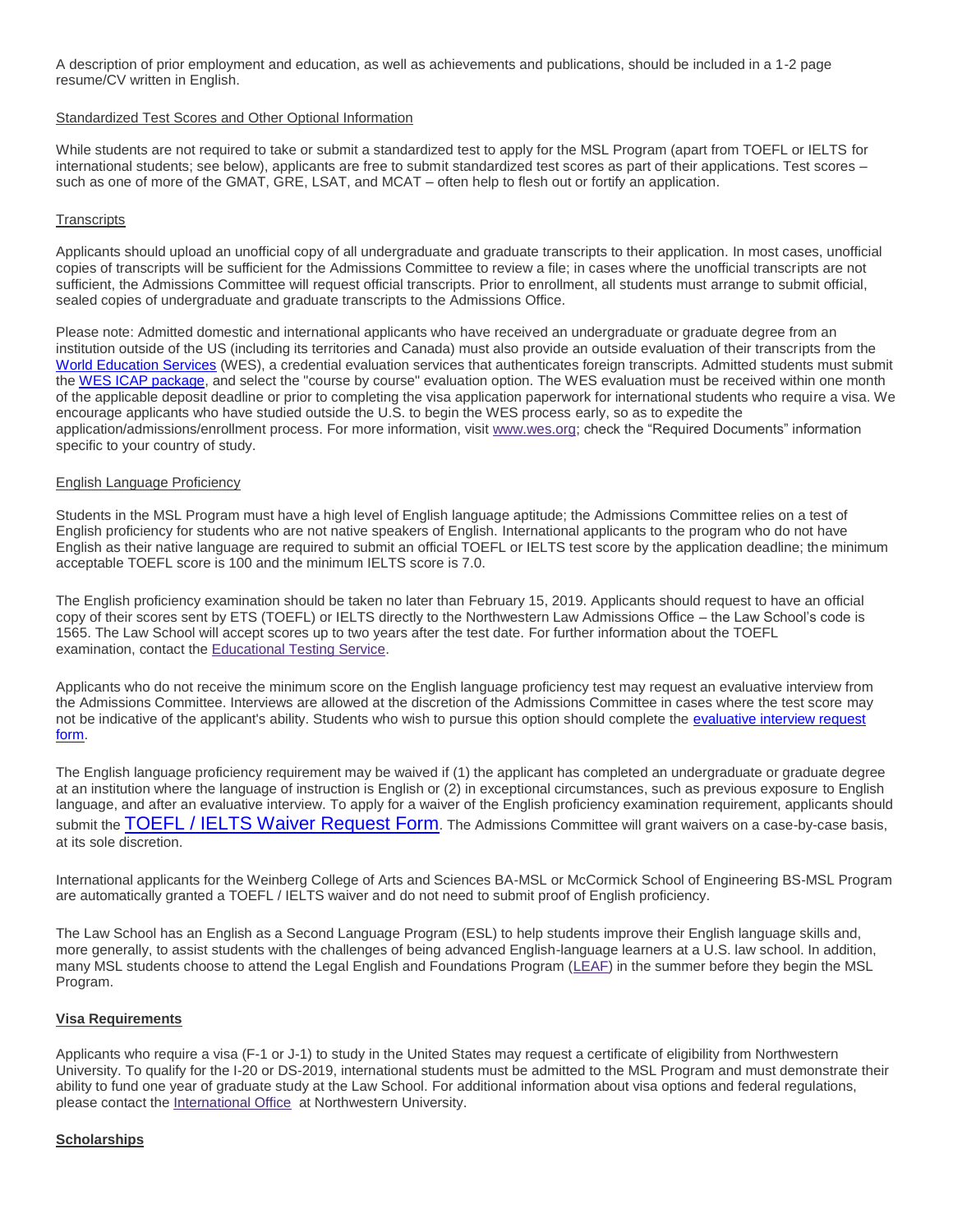A description of prior employment and education, as well as achievements and publications, should be included in a 1-2 page resume/CV written in English.

#### Standardized Test Scores and Other Optional Information

While students are not required to take or submit a standardized test to apply for the MSL Program (apart from TOEFL or IELTS for international students; see below), applicants are free to submit standardized test scores as part of their applications. Test scores – such as one of more of the GMAT, GRE, LSAT, and MCAT – often help to flesh out or fortify an application.

### **Transcripts**

Applicants should upload an unofficial copy of all undergraduate and graduate transcripts to their application. In most cases, unofficial copies of transcripts will be sufficient for the Admissions Committee to review a file; in cases where the unofficial transcripts are not sufficient, the Admissions Committee will request official transcripts. Prior to enrollment, all students must arrange to submit official, sealed copies of undergraduate and graduate transcripts to the Admissions Office.

Please note: Admitted domestic and international applicants who have received an undergraduate or graduate degree from an institution outside of the US (including its territories and Canada) must also provide an outside evaluation of their transcripts from the [World Education Services](https://urldefense.proofpoint.com/v2/url?u=http-3A__www.wes.org_&d=DwMFaQ&c=yHlS04HhBraes5BQ9ueu5zKhE7rtNXt_d012z2PA6ws&r=mHp2LQaSDiTNZpIPXlrfQebaKw5JtjYh1Lkrn8z-VALiQMptthp5Y-IIESQKkKiL&m=PTZYa1tMkWS-2v7FKVJVFOgx_hHhVVMbIB92L7Nst4E&s=LdsMps6k85Egr4L3BMh3OZVsZMu3NWcypoj84jTxv04&e=) (WES), a credential evaluation services that authenticates foreign transcripts. Admitted students must submit the [WES ICAP package,](https://urldefense.proofpoint.com/v2/url?u=http-3A__www.wes.org_fees_icap.asp&d=DwMFaQ&c=yHlS04HhBraes5BQ9ueu5zKhE7rtNXt_d012z2PA6ws&r=mHp2LQaSDiTNZpIPXlrfQebaKw5JtjYh1Lkrn8z-VALiQMptthp5Y-IIESQKkKiL&m=PTZYa1tMkWS-2v7FKVJVFOgx_hHhVVMbIB92L7Nst4E&s=lKdBUC47gSqqeaGQYuiEFr9yCMeZSZUuHk-od7O2qec&e=) and select the "course by course" evaluation option. The WES evaluation must be received within one month of the applicable deposit deadline or prior to completing the visa application paperwork for international students who require a visa. We encourage applicants who have studied outside the U.S. to begin the WES process early, so as to expedite the application/admissions/enrollment process. For more information, visit [www.wes.org;](http://wes.org/) check the "Required Documents" information specific to your country of study.

### English Language Proficiency

Students in the MSL Program must have a high level of English language aptitude; the Admissions Committee relies on a test of English proficiency for students who are not native speakers of English. International applicants to the program who do not have English as their native language are required to submit an official TOEFL or IELTS test score by the application deadline; the minimum acceptable TOEFL score is 100 and the minimum IELTS score is 7.0.

The English proficiency examination should be taken no later than February 15, 2019. Applicants should request to have an official copy of their scores sent by ETS (TOEFL) or IELTS directly to the Northwestern Law Admissions Office – the Law School's code is 1565. The Law School will accept scores up to two years after the test date. For further information about the TOEFL examination, contact the [Educational Testing Service.](https://www.ets.org/toefl/contact/region1)

Applicants who do not receive the minimum score on the English language proficiency test may request an evaluative interview from the Admissions Committee. Interviews are allowed at the discretion of the Admissions Committee in cases where the test score may not be indicative of the applicant's ability. Students who wish to pursue this option should complete the [evaluative interview request](https://apply.law.northwestern.edu/register/?id=38db32ab-512c-4ae2-b884-6531db1e34a0)  [form.](https://apply.law.northwestern.edu/register/?id=38db32ab-512c-4ae2-b884-6531db1e34a0)

The English language proficiency requirement may be waived if (1) the applicant has completed an undergraduate or graduate degree at an institution where the language of instruction is English or (2) in exceptional circumstances, such as previous exposure to English language, and after an evaluative interview. To apply for a waiver of the English proficiency examination requirement, applicants should submit the [TOEFL / IELTS Waiver Request Form](https://apply.law.northwestern.edu/register/MSLlanguagewaiver). The Admissions Committee will grant waivers on a case-by-case basis, at its sole discretion.

International applicants for the Weinberg College of Arts and Sciences BA-MSL or McCormick School of Engineering BS-MSL Program are automatically granted a TOEFL / IELTS waiver and do not need to submit proof of English proficiency.

The Law School has an English as a Second Language Program (ESL) to help students improve their English language skills and, more generally, to assist students with the challenges of being advanced English-language learners at a U.S. law school. In addition, many MSL students choose to attend the Legal English and Foundations Program [\(LEAF\)](http://www.law.northwestern.edu/law-school-life/studentservices/intlprograms/legalenglish/) in the summer before they begin the MSL Program.

#### **Visa Requirements**

Applicants who require a visa (F-1 or J-1) to study in the United States may request a certificate of eligibility from Northwestern University. To qualify for the I-20 or DS-2019, international students must be admitted to the MSL Program and must demonstrate their ability to fund one year of graduate study at the Law School. For additional information about visa options and federal regulations, please contact the [International Office](http://www.northwestern.edu/international/) at Northwestern University.

### **Scholarships**